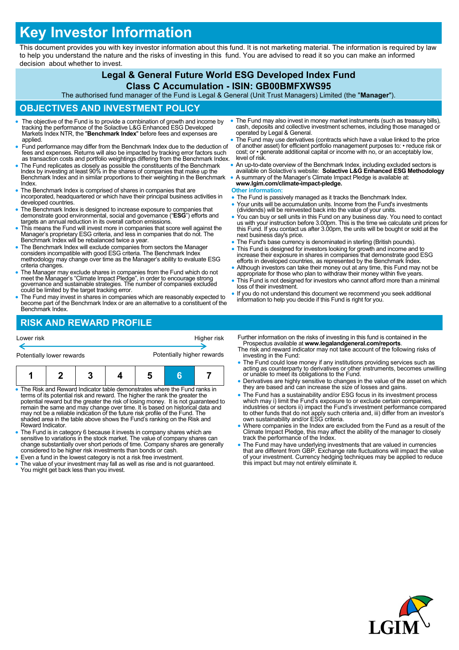# **Key Investor Information**

This document provides you with key investor information about this fund. It is not marketing material. The information is required by law to help you understand the nature and the risks of investing in this fund. You are advised to read it so you can make an informed decision about whether to invest.

## **Legal & General Future World ESG Developed Index Fund**

#### **Class C Accumulation - ISIN: GB00BMFXWS95**

The authorised fund manager of the Fund is Legal & General (Unit Trust Managers) Limited (the "**Manager**").

#### **OBJECTIVES AND INVESTMENT POLICY**

- The objective of the Fund is to provide a combination of growth and income by tracking the performance of the Solactive L&G Enhanced ESG Developed Markets Index NTR, the "**Benchmark Index**" before fees and expenses are applied.
- Fund performance may differ from the Benchmark Index due to the deduction of fees and expenses. Returns will also be impacted by tracking error factors such as transaction costs and portfolio weightings differing from the Benchmark Index.
- The Fund replicates as closely as possible the constituents of the Benchmark Index by investing at least 90% in the shares of companies that make up the Benchmark Index and in similar proportions to their weighting in the Benchmark Index.
- The Benchmark Index is comprised of shares in companies that are incorporated, headquartered or which have their principal business activities in developed countries
- The Benchmark Index is designed to increase exposure to companies that demonstrate good environmental, social and governance ("**ESG**") efforts and targets an annual reduction in its overall carbon emissions.
- This means the Fund will invest more in companies that score well against the Manager's proprietary ESG criteria, and less in companies that do not. The Benchmark Index will be rebalanced twice a year.
- The Benchmark Index will exclude companies from sectors the Manager considers incompatible with good ESG criteria. The Benchmark Index methodology may change over time as the Manager's ability to evaluate ESG criteria changes.
- The Manager may exclude shares in companies from the Fund which do not meet the Manager's "Climate Impact Pledge", in order to encourage strong governance and sustainable strategies. The number of companies excluded could be limited by the target tracking error.
- The Fund may invest in shares in companies which are reasonably expected to become part of the Benchmark Index or are an alternative to a constituent of the Benchmark Index.

### **RISK AND REWARD PROFILE**

| Lower risk                                                                 |                                                                             |                            |  |   | Higher risk |
|----------------------------------------------------------------------------|-----------------------------------------------------------------------------|----------------------------|--|---|-------------|
| Potentially lower rewards                                                  |                                                                             | Potentially higher rewards |  |   |             |
|                                                                            |                                                                             |                            |  | 6 |             |
| • The Risk and Reward Indicator table demonstrates where the Fund ranks in | terms of its potential risk and reward. The higher the rank the greater the |                            |  |   |             |

- terms of its potential risk and reward. The higher the rank the greater the potential reward but the greater the risk of losing money. It is not guaranteed to remain the same and may change over time. It is based on historical data and may not be a reliable indication of the future risk profile of the Fund. The shaded area in the table above shows the Fund's ranking on the Risk and Reward Indicator.
- The Fund is in category 6 because it invests in company shares which are sensitive to variations in the stock market. The value of company shares can change substantially over short periods of time. Company shares are generally considered to be higher risk investments than bonds or cash.
- Even a fund in the lowest category is not a risk free investment. The value of your investment may fall as well as rise and is not guaranteed. You might get back less than you invest.
- The Fund may also invest in money market instruments (such as treasury bills), cash, deposits and collective investment schemes, including those managed or operated by Legal & General.
- The Fund may use derivatives (contracts which have a value linked to the price of another asset) for efficient portfolio management purposes to: • reduce risk or cost; or • generate additional capital or income with no, or an acceptably low, level of risk.
- An up-to-date overview of the Benchmark Index, including excluded sectors is available on Solactive's website: **Solactive L&G Enhanced ESG Methodology**
- A summary of the Manager's Climate Impact Pledge is available at: **www.lgim.com/climate-impact-pledge.**

#### **Other information:**

- The Fund is passively managed as it tracks the Benchmark Index.
- Your units will be accumulation units. Income from the Fund's investments (dividends) will be reinvested back into the value of your units.
- You can buy or sell units in this Fund on any business day. You need to contact us with your instruction before 3.00pm. This is the time we calculate unit prices for this Fund. If you contact us after 3.00pm, the units will be bought or sold at the next business day's price.
- The Fund's base currency is denominated in sterling (British pounds).
- This Fund is designed for investors looking for growth and income and to increase their exposure in shares in companies that demonstrate good ESG efforts in developed countries, as represented by the Benchmark Index.
- Although investors can take their money out at any time, this Fund may not be appropriate for those who plan to withdraw their money within five years.
- This Fund is not designed for investors who cannot afford more than a minimal loss of their investment.
- If you do not understand this document we recommend you seek additional information to help you decide if this Fund is right for you.
- er information on the risks of investing in this fund is contained in the
- Prospectus available at **www.legalandgeneral.com/reports**. The risk and reward indicator may not take account of the following risks of esting in the Fund:
- The Fund could lose money if any institutions providing services such as acting as counterparty to derivatives or other instruments, becomes unwilling or unable to meet its obligations to the Fund.
- rivatives are highly sensitive to changes in the value of the asset on which y are based and can increase the size of losses and gains.
- $\frac{1}{10}$  Fund has a sustainability and/or ESG focus in its investment process which may i) limit the Fund's exposure to or exclude certain companies, industries or sectors ii) impact the Fund's investment performance compared to other funds that do not apply such criteria and, iii) differ from an investor's own sustainability and/or ESG criteria.
- Where companies in the Index are excluded from the Fund as a result of the Climate Impact Pledge, this may affect the ability of the manager to closely track the performance of the Index.
- The Fund may have underlying investments that are valued in currencies that are different from GBP. Exchange rate fluctuations will impact the value of your investment. Currency hedging techniques may be applied to reduce this impact but may not entirely eliminate it.